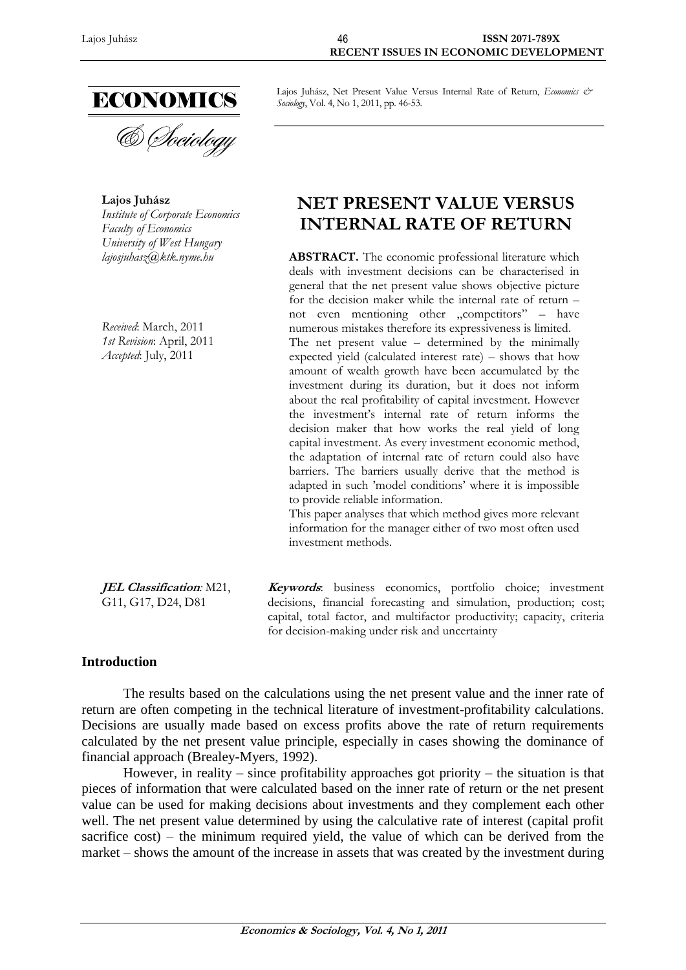

**Lajos Juhász** *Institute of Corporate Economics Faculty of Economics University of West Hungary*

*Received*: March, 2011 *1st Revision*: April, 2011 *Accepted*: July, 2011

Lajos Juhász, Net Present Value Versus Internal Rate of Return, *Economics & Sociology*, Vol. 4, No 1, 2011, pp. 46-53.

# **NET PRESENT VALUE VERSUS INTERNAL RATE OF RETURN**

*lajosjuhasz@ktk.nyme.hu* **ABSTRACT.** The economic professional literature which deals with investment decisions can be characterised in general that the net present value shows objective picture for the decision maker while the internal rate of return – not even mentioning other "competitors" – have numerous mistakes therefore its expressiveness is limited. The net present value – determined by the minimally expected yield (calculated interest rate) – shows that how amount of wealth growth have been accumulated by the investment during its duration, but it does not inform about the real profitability of capital investment. However the investment's internal rate of return informs the decision maker that how works the real yield of long capital investment. As every investment economic method, the adaptation of internal rate of return could also have barriers. The barriers usually derive that the method is adapted in such 'model conditions' where it is impossible to provide reliable information.

This paper analyses that which method gives more relevant information for the manager either of two most often used investment methods.

**JEL Classification***:* M21, G11, G17, D24, D81 **Keywords**: business economics, portfolio choice; investment decisions, financial forecasting and simulation, production; cost; capital, total factor, and multifactor productivity; capacity, criteria for decision-making under risk and uncertainty

## **Introduction**

The results based on the calculations using the net present value and the inner rate of return are often competing in the technical literature of investment-profitability calculations. Decisions are usually made based on excess profits above the rate of return requirements calculated by the net present value principle, especially in cases showing the dominance of financial approach (Brealey-Myers, 1992).

However, in reality – since profitability approaches got priority – the situation is that pieces of information that were calculated based on the inner rate of return or the net present value can be used for making decisions about investments and they complement each other well. The net present value determined by using the calculative rate of interest (capital profit sacrifice cost) – the minimum required yield, the value of which can be derived from the market – shows the amount of the increase in assets that was created by the investment during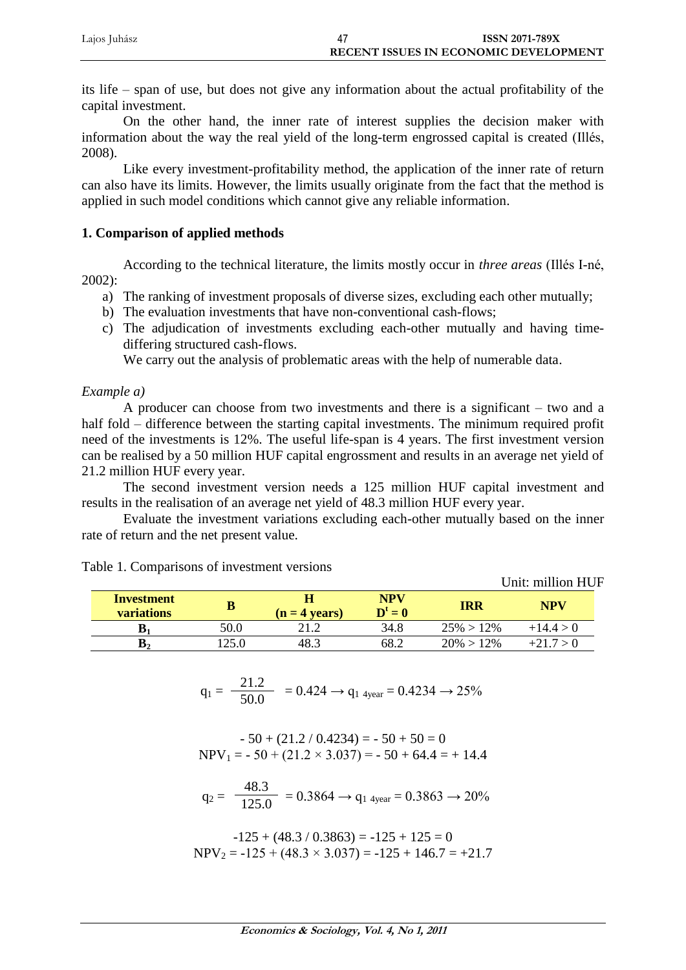| Lajos Juhász | <b>ISSN 2071-789X</b>                        |
|--------------|----------------------------------------------|
|              | <b>RECENT ISSUES IN ECONOMIC DEVELOPMENT</b> |

its life – span of use, but does not give any information about the actual profitability of the capital investment.

On the other hand, the inner rate of interest supplies the decision maker with information about the way the real yield of the long-term engrossed capital is created (Illés, 2008).

Like every investment-profitability method, the application of the inner rate of return can also have its limits. However, the limits usually originate from the fact that the method is applied in such model conditions which cannot give any reliable information.

#### **1. Comparison of applied methods**

According to the technical literature, the limits mostly occur in *three areas* (Illés I-né, 2002):

- a) The ranking of investment proposals of diverse sizes, excluding each other mutually;
- b) The evaluation investments that have non-conventional cash-flows;
- c) The adjudication of investments excluding each-other mutually and having timediffering structured cash-flows.

We carry out the analysis of problematic areas with the help of numerable data.

#### *Example a)*

A producer can choose from two investments and there is a significant – two and a half fold – difference between the starting capital investments. The minimum required profit need of the investments is 12%. The useful life-span is 4 years. The first investment version can be realised by a 50 million HUF capital engrossment and results in an average net yield of 21.2 million HUF every year.

The second investment version needs a 125 million HUF capital investment and results in the realisation of an average net yield of 48.3 million HUF every year.

Evaluate the investment variations excluding each-other mutually based on the inner rate of return and the net present value.

|                                 |      |                 |                       |               | они, пшион поп |
|---------------------------------|------|-----------------|-----------------------|---------------|----------------|
| Investment<br><b>variations</b> |      | $(n = 4$ vears) | <b>NPV</b><br>$D^t=0$ | IRR           | NPV            |
| D٠                              | 50.0 |                 | 34.8                  | $25\% > 12\%$ | $+14.4 > 0$    |
| B,                              |      | 48.3            | 68.2                  | $20\% > 12\%$ | $+21.7 > 0$    |

Unit: million HUF

Table 1. Comparisons of investment versions

$$
q_1 = \frac{21.2}{50.0} = 0.424 \rightarrow q_{1 \text{ 4year}} = 0.4234 \rightarrow 25\%
$$

$$
-50 + (21.2 / 0.4234) = -50 + 50 = 0
$$
  
NPV<sub>1</sub> = -50 + (21.2 × 3.037) = -50 + 64.4 = +14.4

$$
q_2 = \frac{48.3}{125.0} = 0.3864 \rightarrow q_{1\text{ 4year}} = 0.3863 \rightarrow 20\%
$$

$$
-125 + (48.3 / 0.3863) = -125 + 125 = 0
$$
  
NPV<sub>2</sub> = -125 + (48.3 × 3.037) = -125 + 146.7 = +21.7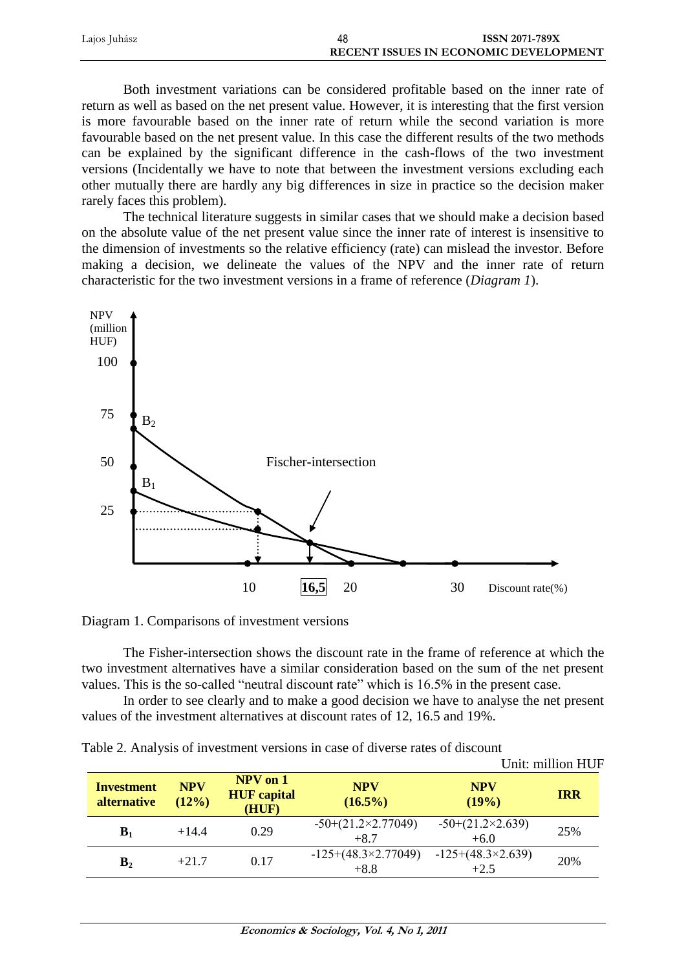| Lajos Juhász | 48 | <b>ISSN 2071-789X</b>                        |
|--------------|----|----------------------------------------------|
|              |    | <b>RECENT ISSUES IN ECONOMIC DEVELOPMENT</b> |

Both investment variations can be considered profitable based on the inner rate of return as well as based on the net present value. However, it is interesting that the first version is more favourable based on the inner rate of return while the second variation is more favourable based on the net present value. In this case the different results of the two methods can be explained by the significant difference in the cash-flows of the two investment versions (Incidentally we have to note that between the investment versions excluding each other mutually there are hardly any big differences in size in practice so the decision maker rarely faces this problem).

The technical literature suggests in similar cases that we should make a decision based on the absolute value of the net present value since the inner rate of interest is insensitive to the dimension of investments so the relative efficiency (rate) can mislead the investor. Before making a decision, we delineate the values of the NPV and the inner rate of return characteristic for the two investment versions in a frame of reference (*Diagram 1*).



Diagram 1. Comparisons of investment versions

The Fisher-intersection shows the discount rate in the frame of reference at which the two investment alternatives have a similar consideration based on the sum of the net present values. This is the so-called "neutral discount rate" which is 16.5% in the present case.

In order to see clearly and to make a good decision we have to analyse the net present values of the investment alternatives at discount rates of 12, 16.5 and 19%.

| Table 2. Analysis of investment versions in case of diverse rates of discount |  |  |  |  |  |  |  |
|-------------------------------------------------------------------------------|--|--|--|--|--|--|--|
|-------------------------------------------------------------------------------|--|--|--|--|--|--|--|

|                                  |                     |                                             |                                      |                                    | Unit: million HUF |
|----------------------------------|---------------------|---------------------------------------------|--------------------------------------|------------------------------------|-------------------|
| <b>Investment</b><br>alternative | <b>NPV</b><br>(12%) | $NPV$ on $1$<br><b>HUF</b> capital<br>(HUF) | <b>NPV</b><br>$(16.5\%)$             | <b>NPV</b><br>(19%)                | <b>IRR</b>        |
| B <sub>1</sub>                   | $+14.4$             | 0.29                                        | $-50+(21.2\times2.77049)$<br>$+8.7$  | $-50+(21.2\times2.639)$<br>$+6.0$  | 25%               |
| B <sub>2</sub>                   | $+21.7$             | 0.17                                        | $-125+(48.3\times2.77049)$<br>$+8.8$ | $-125+(48.3\times2.639)$<br>$+2.5$ | 20%               |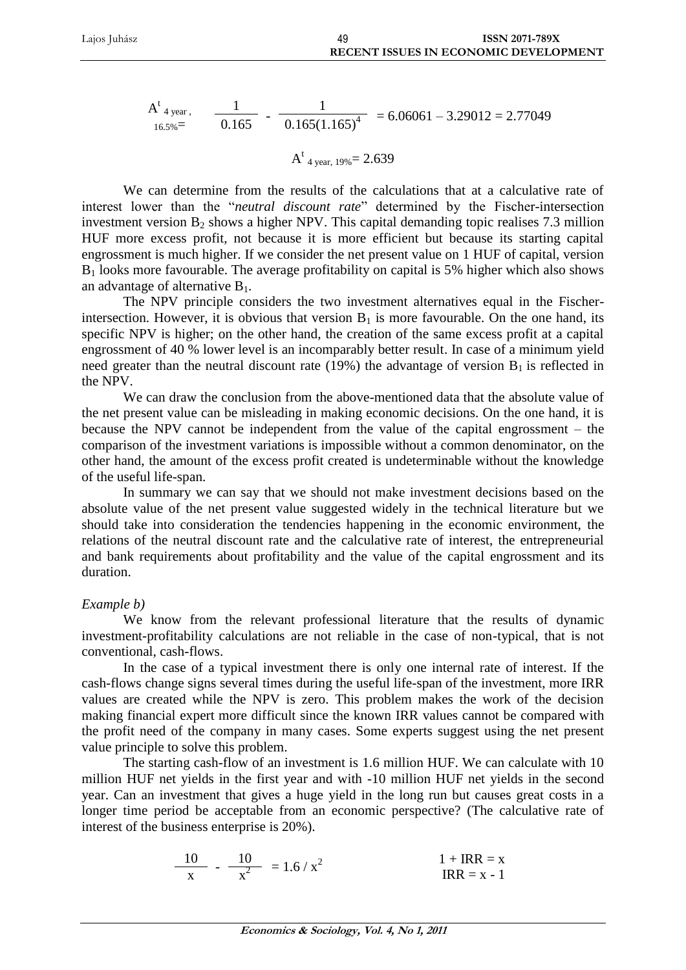$$
At16.5%=
$$
 
$$
\frac{1}{0.165} - \frac{1}{0.165(1.165)^4} = 6.06061 - 3.29012 = 2.77049
$$

$$
A^{t}_{4 \text{ year, } 19\%} = 2.639
$$

We can determine from the results of the calculations that at a calculative rate of interest lower than the "*neutral discount rate*" determined by the Fischer-intersection investment version  $B_2$  shows a higher NPV. This capital demanding topic realises 7.3 million HUF more excess profit, not because it is more efficient but because its starting capital engrossment is much higher. If we consider the net present value on 1 HUF of capital, version  $B_1$  looks more favourable. The average profitability on capital is 5% higher which also shows an advantage of alternative  $B_1$ .

The NPV principle considers the two investment alternatives equal in the Fischerintersection. However, it is obvious that version  $B_1$  is more favourable. On the one hand, its specific NPV is higher; on the other hand, the creation of the same excess profit at a capital engrossment of 40 % lower level is an incomparably better result. In case of a minimum yield need greater than the neutral discount rate (19%) the advantage of version  $B_1$  is reflected in the NPV.

We can draw the conclusion from the above-mentioned data that the absolute value of the net present value can be misleading in making economic decisions. On the one hand, it is because the NPV cannot be independent from the value of the capital engrossment – the comparison of the investment variations is impossible without a common denominator, on the other hand, the amount of the excess profit created is undeterminable without the knowledge of the useful life-span.

In summary we can say that we should not make investment decisions based on the absolute value of the net present value suggested widely in the technical literature but we should take into consideration the tendencies happening in the economic environment, the relations of the neutral discount rate and the calculative rate of interest, the entrepreneurial and bank requirements about profitability and the value of the capital engrossment and its duration.

## *Example b)*

We know from the relevant professional literature that the results of dynamic investment-profitability calculations are not reliable in the case of non-typical, that is not conventional, cash-flows.

In the case of a typical investment there is only one internal rate of interest. If the cash-flows change signs several times during the useful life-span of the investment, more IRR values are created while the NPV is zero. This problem makes the work of the decision making financial expert more difficult since the known IRR values cannot be compared with the profit need of the company in many cases. Some experts suggest using the net present value principle to solve this problem.

The starting cash-flow of an investment is 1.6 million HUF. We can calculate with 10 million HUF net yields in the first year and with -10 million HUF net yields in the second year. Can an investment that gives a huge yield in the long run but causes great costs in a longer time period be acceptable from an economic perspective? (The calculative rate of interest of the business enterprise is 20%).

$$
\frac{10}{x} - \frac{10}{x^2} = 1.6 / x^2
$$
  
1 + IRR = x  
IRR = x - 1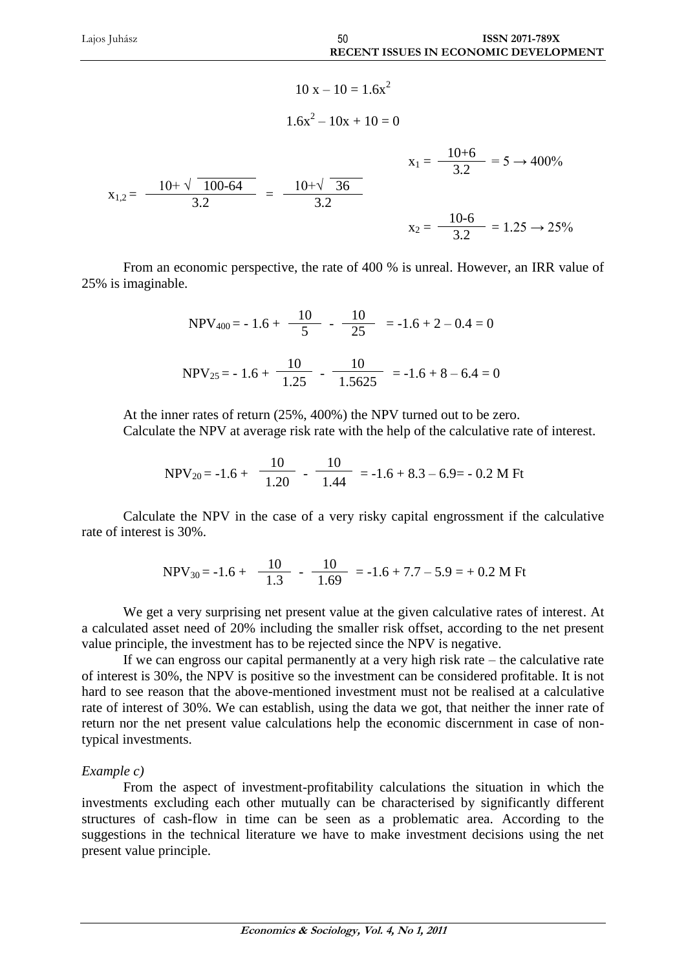$$
10 x - 10 = 1.6x2
$$
  

$$
1.6x2 - 10x + 10 = 0
$$
  

$$
x1,2 = \frac{10 + \sqrt{100 - 64}}{3.2} = \frac{10 + \sqrt{36}}{3.2}
$$
  

$$
x2 = \frac{10 - 6}{3.2} = 1.25 \rightarrow 25\%
$$

From an economic perspective, the rate of 400 % is unreal. However, an IRR value of 25% is imaginable.

$$
NPV_{400} = -1.6 + \frac{10}{5} - \frac{10}{25} = -1.6 + 2 - 0.4 = 0
$$
  
NPV<sub>25</sub> = -1.6 +  $\frac{10}{1.25} - \frac{10}{1.5625} = -1.6 + 8 - 6.4 = 0$ 

At the inner rates of return (25%, 400%) the NPV turned out to be zero. Calculate the NPV at average risk rate with the help of the calculative rate of interest.

$$
NPV_{20} = -1.6 + \frac{10}{1.20} - \frac{10}{1.44} = -1.6 + 8.3 - 6.9 = -0.2 M Ft
$$

Calculate the NPV in the case of a very risky capital engrossment if the calculative rate of interest is 30%.

$$
NPV_{30} = -1.6 + \frac{10}{1.3} - \frac{10}{1.69} = -1.6 + 7.7 - 5.9 = +0.2 M Ft
$$

We get a very surprising net present value at the given calculative rates of interest. At a calculated asset need of 20% including the smaller risk offset, according to the net present value principle, the investment has to be rejected since the NPV is negative.

If we can engross our capital permanently at a very high risk rate – the calculative rate of interest is 30%, the NPV is positive so the investment can be considered profitable. It is not hard to see reason that the above-mentioned investment must not be realised at a calculative rate of interest of 30%. We can establish, using the data we got, that neither the inner rate of return nor the net present value calculations help the economic discernment in case of nontypical investments.

#### *Example c)*

From the aspect of investment-profitability calculations the situation in which the investments excluding each other mutually can be characterised by significantly different structures of cash-flow in time can be seen as a problematic area. According to the suggestions in the technical literature we have to make investment decisions using the net present value principle.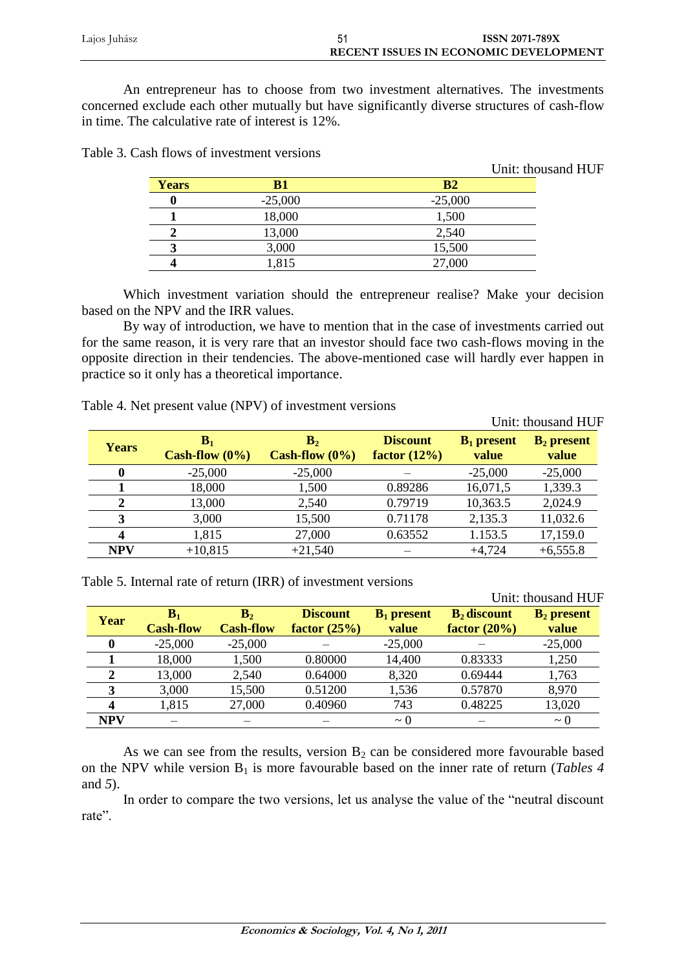| Lajos Juhász | <b>ISSN 2071-789X</b>                        |
|--------------|----------------------------------------------|
|              | <b>RECENT ISSUES IN ECONOMIC DEVELOPMENT</b> |

An entrepreneur has to choose from two investment alternatives. The investments concerned exclude each other mutually but have significantly diverse structures of cash-flow in time. The calculative rate of interest is 12%.

| <b>Years</b> | $\bf{B}1$ | B <sub>2</sub> |
|--------------|-----------|----------------|
|              | $-25,000$ | $-25,000$      |
|              | 18,000    | 1,500          |
|              | 13,000    | 2,540          |
|              | 3,000     | 15,500         |
|              | 1,815     | 27,000         |
|              |           |                |

Unit: thousand HUF

Table 3. Cash flows of investment versions

Which investment variation should the entrepreneur realise? Make your decision based on the NPV and the IRR values.

By way of introduction, we have to mention that in the case of investments carried out for the same reason, it is very rare that an investor should face two cash-flows moving in the opposite direction in their tendencies. The above-mentioned case will hardly ever happen in practice so it only has a theoretical importance.

 13,000 2,540 0.79719 10,363.5 2,024.9 3,000 15,500 0.71178 2,135.3 11,032.6 1,815 27,000 0.63552 1.153.5 17,159.0 **NPV**  $+10,815$   $+21,540$   $+4,724$   $+6,555.8$ 

| $\frac{1}{2}$ |                         |                                     |                                    |                        |                        |  |  |
|---------------|-------------------------|-------------------------------------|------------------------------------|------------------------|------------------------|--|--|
|               |                         |                                     |                                    |                        | Unit: thousand HUF     |  |  |
| <b>Years</b>  | в.<br>Cash-flow $(0\%)$ | B <sub>2</sub><br>Cash-flow $(0\%)$ | <b>Discount</b><br>factor $(12\%)$ | $B_1$ present<br>value | $B_2$ present<br>value |  |  |
| 0             | $-25,000$               | $-25,000$                           |                                    | $-25,000$              | $-25,000$              |  |  |
|               | 18.000                  | .500                                | 0.89286                            | 16,071,5               | 1,339.3                |  |  |

Table 4. Net present value (NPV) of investment versions

Table 5. Internal rate of return (IRR) of investment versions

|            |                                    |                                    |                                   |                        |                                   | Unit: thousand HUF    |
|------------|------------------------------------|------------------------------------|-----------------------------------|------------------------|-----------------------------------|-----------------------|
| Year       | $\mathbf{B}_1$<br><b>Cash-flow</b> | $\mathbf{B}_2$<br><b>Cash-flow</b> | <b>Discount</b><br>factor $(25%)$ | $B_1$ present<br>value | $B_2$ discount<br>factor $(20\%)$ | $B2$ present<br>value |
|            | $-25,000$                          | $-25,000$                          |                                   | $-25,000$              |                                   | $-25,000$             |
|            | 18,000                             | 1,500                              | 0.80000                           | 14,400                 | 0.83333                           | 1,250                 |
| 2          | 13,000                             | 2,540                              | 0.64000                           | 8,320                  | 0.69444                           | 1,763                 |
|            | 3,000                              | 15,500                             | 0.51200                           | 1,536                  | 0.57870                           | 8,970                 |
|            | 1,815                              | 27,000                             | 0.40960                           | 743                    | 0.48225                           | 13,020                |
| <b>NPV</b> |                                    |                                    |                                   | $\sim$ 0               |                                   | $\sim$ 0              |

As we can see from the results, version  $B_2$  can be considered more favourable based on the NPV while version B<sub>1</sub> is more favourable based on the inner rate of return (*Tables 4* and *5*).

In order to compare the two versions, let us analyse the value of the "neutral discount rate".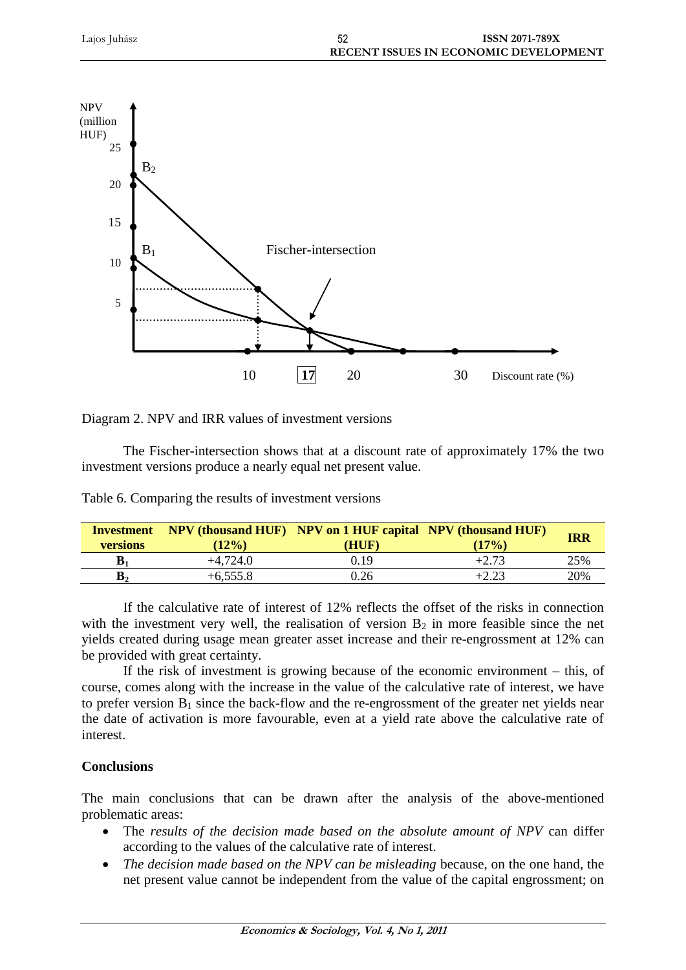

|  |  |  | Diagram 2. NPV and IRR values of investment versions |  |
|--|--|--|------------------------------------------------------|--|
|  |  |  |                                                      |  |

The Fischer-intersection shows that at a discount rate of approximately 17% the two investment versions produce a nearly equal net present value.

| <b>Investment</b><br><b>versions</b> | $(12\%)$   | <b>NPV (thousand HUF)</b> NPV on 1 HUF capital NPV (thousand HUF)<br>HUF | (17%)   | <b>IRR</b> |
|--------------------------------------|------------|--------------------------------------------------------------------------|---------|------------|
| $\mathbf{B}_1$                       | $+4.724.0$ | 0.19                                                                     | $+2.73$ | 25%        |
| $\mathbf{B}_2$                       | $+6,555.8$ | 0.26                                                                     | $+2.23$ | 20%        |

Table 6. Comparing the results of investment versions

If the calculative rate of interest of 12% reflects the offset of the risks in connection with the investment very well, the realisation of version  $B_2$  in more feasible since the net yields created during usage mean greater asset increase and their re-engrossment at 12% can be provided with great certainty.

If the risk of investment is growing because of the economic environment – this, of course, comes along with the increase in the value of the calculative rate of interest, we have to prefer version  $B_1$  since the back-flow and the re-engrossment of the greater net yields near the date of activation is more favourable, even at a yield rate above the calculative rate of interest.

## **Conclusions**

The main conclusions that can be drawn after the analysis of the above-mentioned problematic areas:

- The *results of the decision made based on the absolute amount of NPV* can differ according to the values of the calculative rate of interest.
- *The decision made based on the NPV can be misleading* because, on the one hand, the net present value cannot be independent from the value of the capital engrossment; on